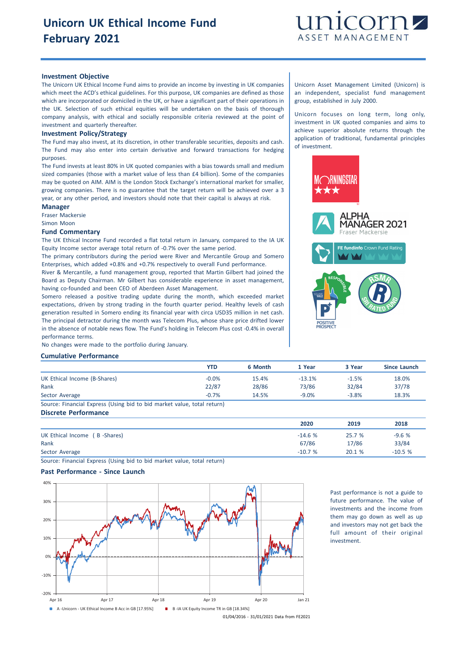

## **Investment Objective**

The Unicorn UK Ethical Income Fund aims to provide an income by investing in UK companies which meet the ACD's ethical guidelines. For this purpose, UK companies are defined as those which are incorporated or domiciled in the UK, or have a significant part of their operations in the UK. Selection of such ethical equities will be undertaken on the basis of thorough company analysis, with ethical and socially responsible criteria reviewed at the point of investment and quarterly thereafter.

#### **Investment Policy/Strategy**

The Fund may also invest, at its discretion, in other transferable securities, deposits and cash. The Fund may also enter into certain derivative and forward transactions for hedging purposes.

The Fund invests at least 80% in UK quoted companies with a bias towards small and medium sized companies (those with a market value of less than £4 billion). Some of the companies may be quoted on AIM. AIM is the London Stock Exchange's international market for smaller, growing companies. There is no guarantee that the target return will be achieved over a 3 year, or any other period, and investors should note that their capital is always at risk.

#### **Manager**

Fraser Mackersie

Simon Moon

#### **Fund Commentary**

The UK Ethical Income Fund recorded a flat total return in January, compared to the IA UK Equity Income sector average total return of -0.7% over the same period.

The primary contributors during the period were River and Mercantile Group and Somero Enterprises, which added +0.8% and +0.7% respectively to overall Fund performance.

River & Mercantile, a fund management group, reported that Martin Gilbert had joined the Board as Deputy Chairman. Mr Gilbert has considerable experience in asset management, having co-founded and been CEO of Aberdeen Asset Management.

Somero released a positive trading update during the month, which exceeded market expectations, driven by strong trading in the fourth quarter period. Healthy levels of cash generation resulted in Somero ending its financial year with circa USD35 million in net cash. The principal detractor during the month was Telecom Plus, whose share price drifted lower in the absence of notable news flow. The Fund's holding in Telecom Plus cost -0.4% in overall performance terms.

No changes were made to the portfolio during January.

### **Cumulative Performance**

|                                                                         | YTD     | 6 Month | 1 Year   | 3 Year  | Since Launch |
|-------------------------------------------------------------------------|---------|---------|----------|---------|--------------|
| UK Ethical Income (B-Shares)                                            | $-0.0%$ | 15.4%   | $-13.1%$ | $-1.5%$ | 18.0%        |
| Rank                                                                    | 22/87   | 28/86   | 73/86    | 32/84   | 37/78        |
| Sector Average                                                          | $-0.7%$ | 14.5%   | $-9.0%$  | $-3.8%$ | 18.3%        |
| Source: Financial Express (Using bid to bid market value, total return) |         |         |          |         |              |

**Discrete Performance**

|                              | 2020     | 2019   | 2018     |
|------------------------------|----------|--------|----------|
| UK Ethical Income (B-Shares) | $-14.6%$ | 25.7 % | $-9.6%$  |
| Rank                         | 67/86    | 17/86  | 33/84    |
| Sector Average               | $-10.7%$ | 20.1%  | $-10.5%$ |

Source: Financial Express (Using bid to bid market value, total return)

#### **Past Performance - Since Launch**



Past performance is not a guide to future performance. The value of investments and the income from them may go down as well as up and investors may not get back the full amount of their original investment.

01/04/2016 - 31/01/2021 Data from FE2021

Unicorn Asset Management Limited (Unicorn) is an independent, specialist fund management group, established in July 2000.

Unicorn focuses on long term, long only, investment in UK quoted companies and aims to achieve superior absolute returns through the application of traditional, fundamental principles of investment.